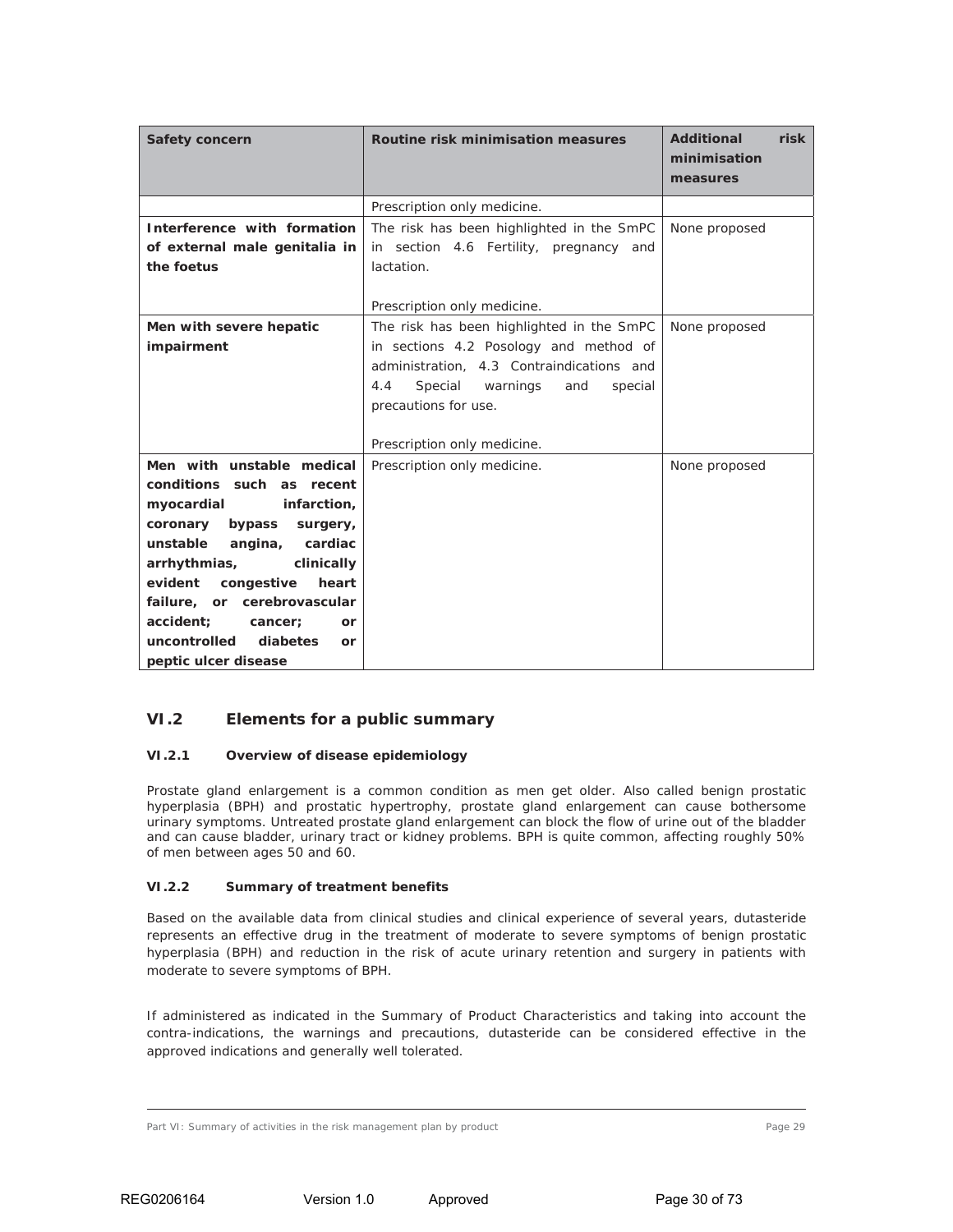### **VI.2 Elements for a public summary**

#### *VI.2.1 Overview of disease epidemiology*

Prostate gland enlargement is a common condition as men get older. Also called benign prostatic hyperplasia (BPH) and prostatic hypertrophy, prostate gland enlargement can cause bothersome urinary symptoms. Untreated prostate gland enlargement can block the flow of urine out of the bladder and can cause bladder, urinary tract or kidney problems. BPH is quite common, affecting roughly 50% of men between ages 50 and 60.

#### *VI.2.2 Summary of treatment benefits*

Based on the available data from clinical studies and clinical experience of several years, dutasteride represents an effective drug in the treatment of moderate to severe symptoms of benign prostatic hyperplasia (BPH) and reduction in the risk of acute urinary retention and surgery in patients with moderate to severe symptoms of BPH.

If administered as indicated in the Summary of Product Characteristics and taking into account the contra-indications, the warnings and precautions, dutasteride can be considered effective in the approved indications and generally well tolerated.

Part VI: Summary of activities in the risk management plan by product Page 29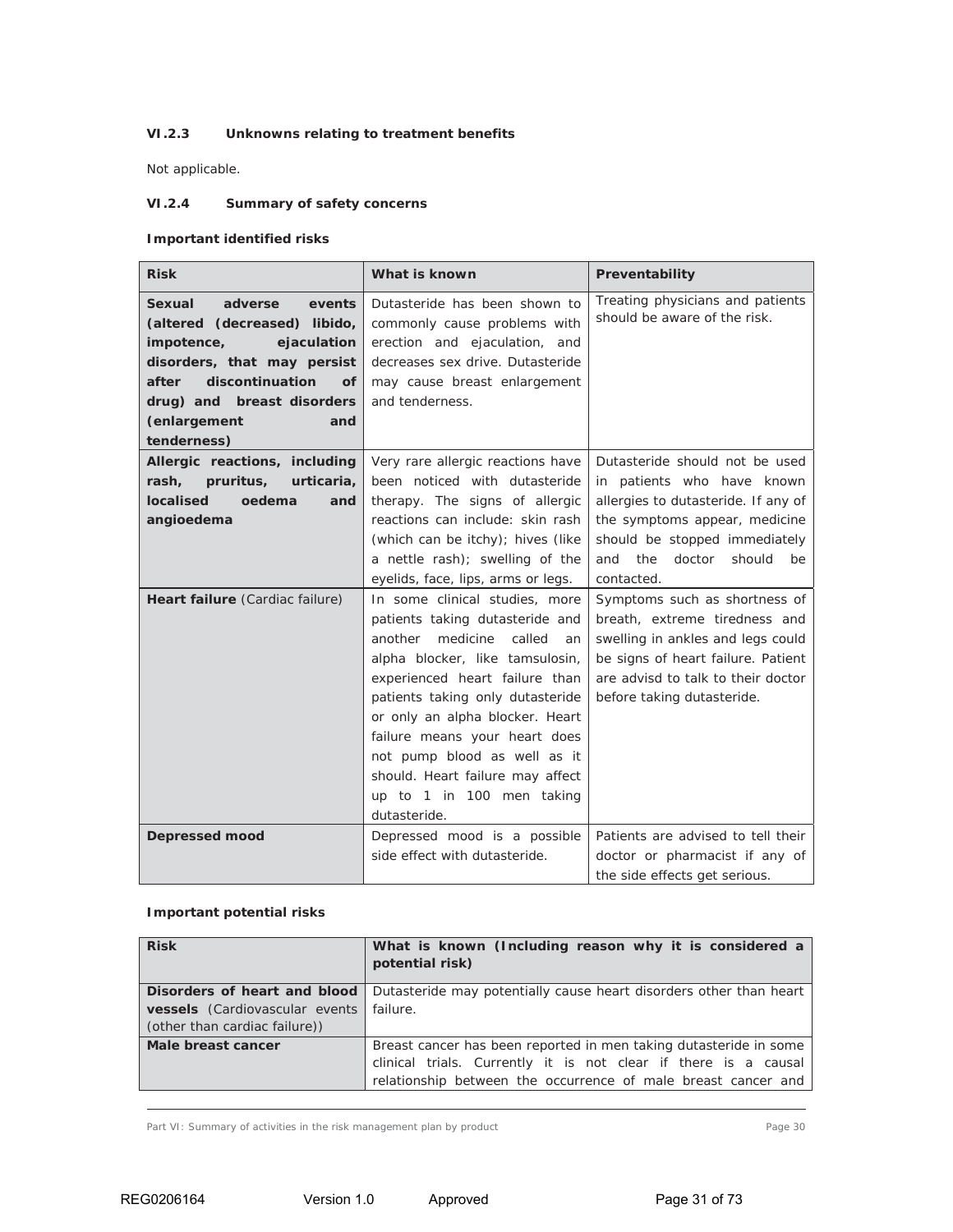### *VI.2.3 Unknowns relating to treatment benefits*

Not applicable.

### *VI.2.4 Summary of safety concerns*

### **Important identified risks**

| <b>Risk</b>                                                                                                                                                                                                                          | What is known                                                                                                                                                                                                                                                                                                                                                                                          | Preventability                                                                                                                                                                                                              |
|--------------------------------------------------------------------------------------------------------------------------------------------------------------------------------------------------------------------------------------|--------------------------------------------------------------------------------------------------------------------------------------------------------------------------------------------------------------------------------------------------------------------------------------------------------------------------------------------------------------------------------------------------------|-----------------------------------------------------------------------------------------------------------------------------------------------------------------------------------------------------------------------------|
| Sexual<br>adverse<br>events<br>(altered (decreased) libido,<br>impotence,<br>ejaculation<br>disorders, that may persist<br>discontinuation<br>after<br><b>of</b><br>drug) and breast disorders<br>(enlargement<br>and<br>tenderness) | Dutasteride has been shown to<br>commonly cause problems with<br>erection and ejaculation, and<br>decreases sex drive. Dutasteride<br>may cause breast enlargement<br>and tenderness.                                                                                                                                                                                                                  | Treating physicians and patients<br>should be aware of the risk.                                                                                                                                                            |
| Allergic reactions, including<br>pruritus,<br>urticaria,<br>rash,<br>localised<br>oedema<br>and<br>angioedema                                                                                                                        | Very rare allergic reactions have<br>been noticed with dutasteride<br>therapy. The signs of allergic<br>reactions can include: skin rash<br>(which can be itchy); hives (like<br>a nettle rash); swelling of the<br>eyelids, face, lips, arms or legs.                                                                                                                                                 | Dutasteride should not be used<br>in patients who have known<br>allergies to dutasteride. If any of<br>the symptoms appear, medicine<br>should be stopped immediately<br>the<br>doctor<br>should<br>and<br>be<br>contacted. |
| Heart failure (Cardiac failure)                                                                                                                                                                                                      | In some clinical studies, more<br>patients taking dutasteride and<br>medicine<br>called<br>another<br>an<br>alpha blocker, like tamsulosin,<br>experienced heart failure than<br>patients taking only dutasteride<br>or only an alpha blocker. Heart<br>failure means your heart does<br>not pump blood as well as it<br>should. Heart failure may affect<br>up to 1 in 100 men taking<br>dutasteride. | Symptoms such as shortness of<br>breath, extreme tiredness and<br>swelling in ankles and legs could<br>be signs of heart failure. Patient<br>are advisd to talk to their doctor<br>before taking dutasteride.               |
| <b>Depressed mood</b>                                                                                                                                                                                                                | Depressed mood is a possible<br>side effect with dutasteride.                                                                                                                                                                                                                                                                                                                                          | Patients are advised to tell their<br>doctor or pharmacist if any of<br>the side effects get serious.                                                                                                                       |

### **Important potential risks**

| <b>Risk</b>                    | What is known (Including reason why it is considered a<br>potential risk) |  |  |
|--------------------------------|---------------------------------------------------------------------------|--|--|
| Disorders of heart and blood   | Dutasteride may potentially cause heart disorders other than heart        |  |  |
| vessels (Cardiovascular events | failure.                                                                  |  |  |
| (other than cardiac failure))  |                                                                           |  |  |
| Male breast cancer             | Breast cancer has been reported in men taking dutasteride in some         |  |  |
|                                | clinical trials. Currently it is not clear if there is a causal           |  |  |
|                                | relationship between the occurrence of male breast cancer and             |  |  |

Part VI: Summary of activities in the risk management plan by product Page 30 Page 30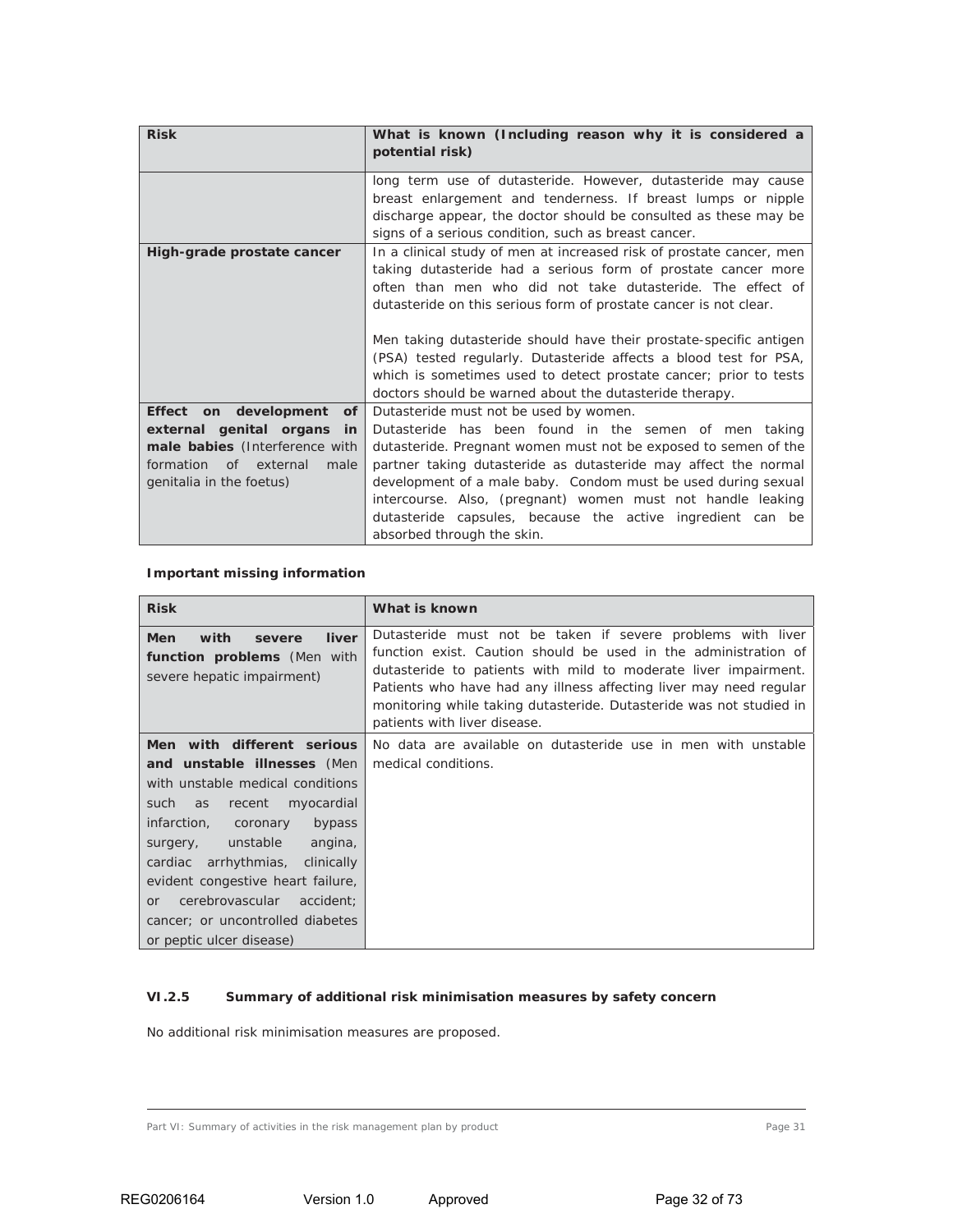| <b>Risk</b>                                                                                                                                                    | What is known (Including reason why it is considered a<br>potential risk)                                                                                                                                                                                                                                                                                                                                                                                                                                                                           |  |  |  |
|----------------------------------------------------------------------------------------------------------------------------------------------------------------|-----------------------------------------------------------------------------------------------------------------------------------------------------------------------------------------------------------------------------------------------------------------------------------------------------------------------------------------------------------------------------------------------------------------------------------------------------------------------------------------------------------------------------------------------------|--|--|--|
|                                                                                                                                                                | long term use of dutasteride. However, dutasteride may cause<br>breast enlargement and tenderness. If breast lumps or nipple<br>discharge appear, the doctor should be consulted as these may be<br>signs of a serious condition, such as breast cancer.                                                                                                                                                                                                                                                                                            |  |  |  |
| High-grade prostate cancer                                                                                                                                     | In a clinical study of men at increased risk of prostate cancer, men<br>taking dutasteride had a serious form of prostate cancer more<br>often than men who did not take dutasteride. The effect of<br>dutasteride on this serious form of prostate cancer is not clear.<br>Men taking dutasteride should have their prostate-specific antigen<br>(PSA) tested regularly. Dutasteride affects a blood test for PSA,<br>which is sometimes used to detect prostate cancer; prior to tests<br>doctors should be warned about the dutasteride therapy. |  |  |  |
| Effect on development<br>of<br>external genital organs<br>in<br>male babies (Interference with<br>formation<br>of external<br>male<br>genitalia in the foetus) | Dutasteride must not be used by women.<br>Dutasteride has been found in the semen of men taking<br>dutasteride. Pregnant women must not be exposed to semen of the<br>partner taking dutasteride as dutasteride may affect the normal<br>development of a male baby. Condom must be used during sexual<br>intercourse. Also, (pregnant) women must not handle leaking<br>dutasteride capsules, because the active ingredient can be<br>absorbed through the skin.                                                                                   |  |  |  |

# **Important missing information**

| <b>Risk</b>                                                                                                                                                                                                                                                                                                                                                                                          | What is known                                                                                                                                                                                                                                                                                                                                                                  |
|------------------------------------------------------------------------------------------------------------------------------------------------------------------------------------------------------------------------------------------------------------------------------------------------------------------------------------------------------------------------------------------------------|--------------------------------------------------------------------------------------------------------------------------------------------------------------------------------------------------------------------------------------------------------------------------------------------------------------------------------------------------------------------------------|
| <b>Men</b><br>with<br>liver<br>severe<br>function problems (Men with<br>severe hepatic impairment)                                                                                                                                                                                                                                                                                                   | Dutasteride must not be taken if severe problems with liver<br>function exist. Caution should be used in the administration of<br>dutasteride to patients with mild to moderate liver impairment.<br>Patients who have had any illness affecting liver may need regular<br>monitoring while taking dutasteride. Dutasteride was not studied in<br>patients with liver disease. |
| Men with different serious<br>and unstable illnesses (Men<br>with unstable medical conditions<br>such as<br>myocardial<br>recent<br>infarction, coronary<br>bypass<br>unstable<br>angina,<br>surgery,<br>arrhythmias,<br>clinically<br>cardiac<br>evident congestive heart failure,<br>cerebrovascular<br>accident;<br><sub>or</sub><br>cancer; or uncontrolled diabetes<br>or peptic ulcer disease) | No data are available on dutasteride use in men with unstable<br>medical conditions.                                                                                                                                                                                                                                                                                           |

### *VI.2.5 Summary of additional risk minimisation measures by safety concern*

No additional risk minimisation measures are proposed.

Part VI: Summary of activities in the risk management plan by product Page 31 Page 31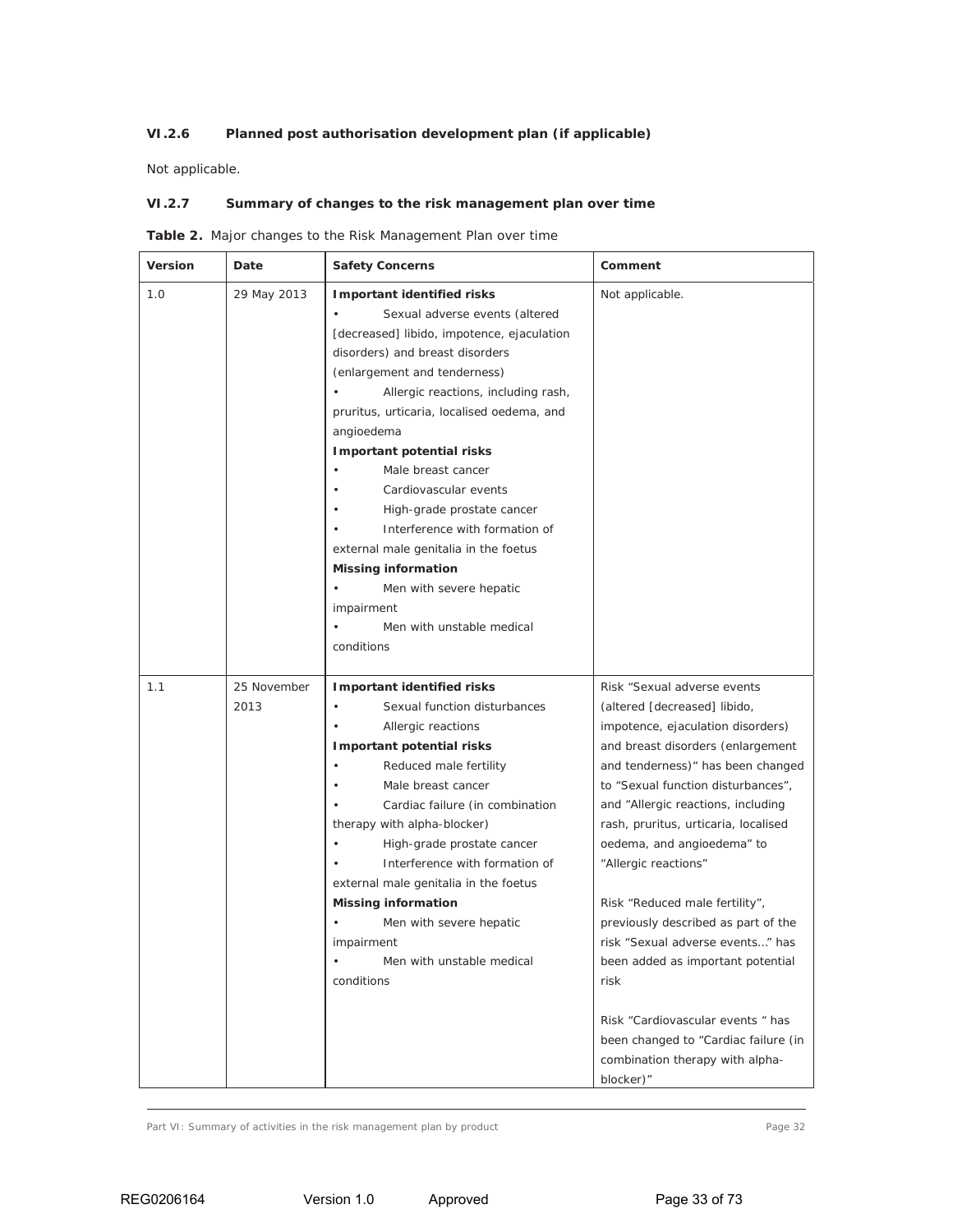# *VI.2.6 Planned post authorisation development plan (if applicable)*

Not applicable.

### *VI.2.7 Summary of changes to the risk management plan over time*

|  |  |  | <b>Table 2.</b> Major changes to the Risk Management Plan over time |  |  |
|--|--|--|---------------------------------------------------------------------|--|--|
|  |  |  |                                                                     |  |  |

| Version | Date                | <b>Safety Concerns</b>                                                                                                                                                                                                                                                                                                                                                                                                                                                                                                                                                                                                         | Comment                                                                                                                                                                                                                                                                                                                                                                                                                                                                                                                                                                                                                                     |
|---------|---------------------|--------------------------------------------------------------------------------------------------------------------------------------------------------------------------------------------------------------------------------------------------------------------------------------------------------------------------------------------------------------------------------------------------------------------------------------------------------------------------------------------------------------------------------------------------------------------------------------------------------------------------------|---------------------------------------------------------------------------------------------------------------------------------------------------------------------------------------------------------------------------------------------------------------------------------------------------------------------------------------------------------------------------------------------------------------------------------------------------------------------------------------------------------------------------------------------------------------------------------------------------------------------------------------------|
| 1.0     | 29 May 2013         | Important identified risks<br>Sexual adverse events (altered<br>$\bullet$<br>[decreased] libido, impotence, ejaculation<br>disorders) and breast disorders<br>(enlargement and tenderness)<br>Allergic reactions, including rash,<br>pruritus, urticaria, localised oedema, and<br>angioedema<br>Important potential risks<br>Male breast cancer<br>Cardiovascular events<br>$\bullet$<br>High-grade prostate cancer<br>$\bullet$<br>Interference with formation of<br>external male genitalia in the foetus<br><b>Missing information</b><br>Men with severe hepatic<br>impairment<br>Men with unstable medical<br>conditions | Not applicable.                                                                                                                                                                                                                                                                                                                                                                                                                                                                                                                                                                                                                             |
| 1.1     | 25 November<br>2013 | Important identified risks<br>Sexual function disturbances<br>Allergic reactions<br>Important potential risks<br>Reduced male fertility<br>Male breast cancer<br>Cardiac failure (in combination<br>therapy with alpha-blocker)<br>High-grade prostate cancer<br>Interference with formation of<br>external male genitalia in the foetus<br><b>Missing information</b><br>Men with severe hepatic<br>impairment<br>Men with unstable medical<br>conditions                                                                                                                                                                     | Risk "Sexual adverse events<br>(altered [decreased] libido,<br>impotence, ejaculation disorders)<br>and breast disorders (enlargement<br>and tenderness)" has been changed<br>to "Sexual function disturbances",<br>and "Allergic reactions, including<br>rash, pruritus, urticaria, localised<br>oedema, and angioedema" to<br>"Allergic reactions"<br>Risk "Reduced male fertility",<br>previously described as part of the<br>risk "Sexual adverse events" has<br>been added as important potential<br>risk<br>Risk "Cardiovascular events " has<br>been changed to "Cardiac failure (in<br>combination therapy with alpha-<br>blocker)" |

Part VI: Summary of activities in the risk management plan by product Page 32